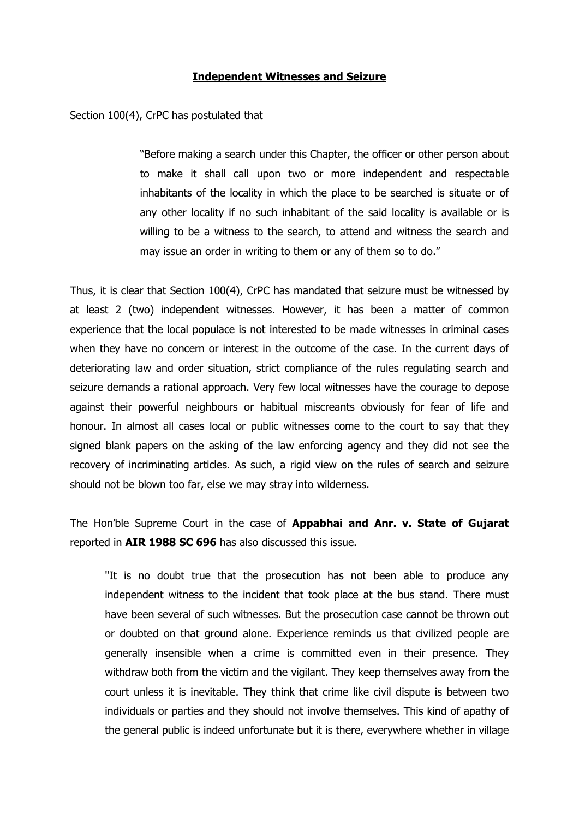## Independent Witnesses and Seizure

Section 100(4), CrPC has postulated that

"Before making a search under this Chapter, the officer or other person about to make it shall call upon two or more independent and respectable inhabitants of the locality in which the place to be searched is situate or of any other locality if no such inhabitant of the said locality is available or is willing to be a witness to the search, to attend and witness the search and may issue an order in writing to them or any of them so to do."

Thus, it is clear that Section 100(4), CrPC has mandated that seizure must be witnessed by at least 2 (two) independent witnesses. However, it has been a matter of common experience that the local populace is not interested to be made witnesses in criminal cases when they have no concern or interest in the outcome of the case. In the current days of deteriorating law and order situation, strict compliance of the rules regulating search and seizure demands a rational approach. Very few local witnesses have the courage to depose against their powerful neighbours or habitual miscreants obviously for fear of life and honour. In almost all cases local or public witnesses come to the court to say that they signed blank papers on the asking of the law enforcing agency and they did not see the recovery of incriminating articles. As such, a rigid view on the rules of search and seizure should not be blown too far, else we may stray into wilderness.

The Hon'ble Supreme Court in the case of **Appabhai and Anr. v. State of Gujarat** reported in AIR 1988 SC 696 has also discussed this issue.

"It is no doubt true that the prosecution has not been able to produce any independent witness to the incident that took place at the bus stand. There must have been several of such witnesses. But the prosecution case cannot be thrown out or doubted on that ground alone. Experience reminds us that civilized people are generally insensible when a crime is committed even in their presence. They withdraw both from the victim and the vigilant. They keep themselves away from the court unless it is inevitable. They think that crime like civil dispute is between two individuals or parties and they should not involve themselves. This kind of apathy of the general public is indeed unfortunate but it is there, everywhere whether in village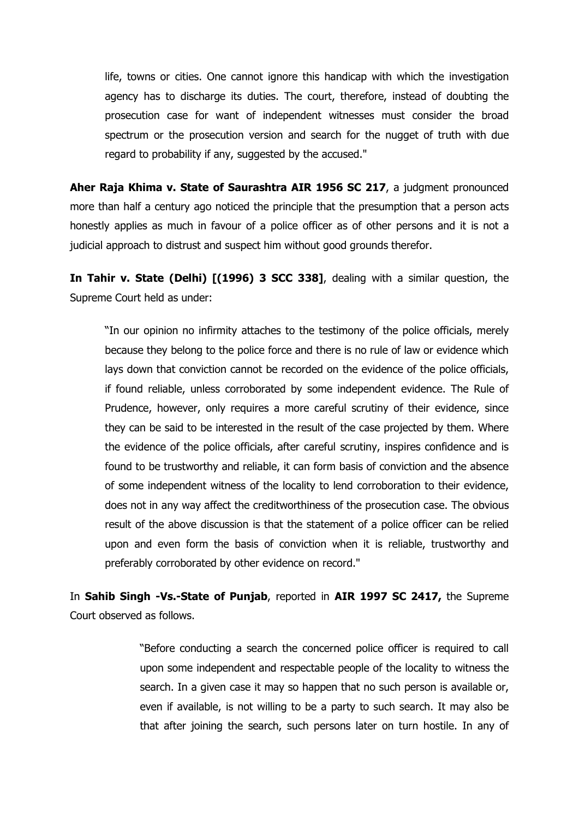life, towns or cities. One cannot ignore this handicap with which the investigation agency has to discharge its duties. The court, therefore, instead of doubting the prosecution case for want of independent witnesses must consider the broad spectrum or the prosecution version and search for the nugget of truth with due regard to probability if any, suggested by the accused."

Aher Raja Khima v. State of Saurashtra AIR 1956 SC 217, a judgment pronounced more than half a century ago noticed the principle that the presumption that a person acts honestly applies as much in favour of a police officer as of other persons and it is not a judicial approach to distrust and suspect him without good grounds therefor.

In Tahir v. State (Delhi) [(1996) 3 SCC 338], dealing with a similar question, the Supreme Court held as under:

"In our opinion no infirmity attaches to the testimony of the police officials, merely because they belong to the police force and there is no rule of law or evidence which lays down that conviction cannot be recorded on the evidence of the police officials, if found reliable, unless corroborated by some independent evidence. The Rule of Prudence, however, only requires a more careful scrutiny of their evidence, since they can be said to be interested in the result of the case projected by them. Where the evidence of the police officials, after careful scrutiny, inspires confidence and is found to be trustworthy and reliable, it can form basis of conviction and the absence of some independent witness of the locality to lend corroboration to their evidence, does not in any way affect the creditworthiness of the prosecution case. The obvious result of the above discussion is that the statement of a police officer can be relied upon and even form the basis of conviction when it is reliable, trustworthy and preferably corroborated by other evidence on record."

In Sahib Singh -Vs.-State of Punjab, reported in AIR 1997 SC 2417, the Supreme Court observed as follows.

> "Before conducting a search the concerned police officer is required to call upon some independent and respectable people of the locality to witness the search. In a given case it may so happen that no such person is available or, even if available, is not willing to be a party to such search. It may also be that after joining the search, such persons later on turn hostile. In any of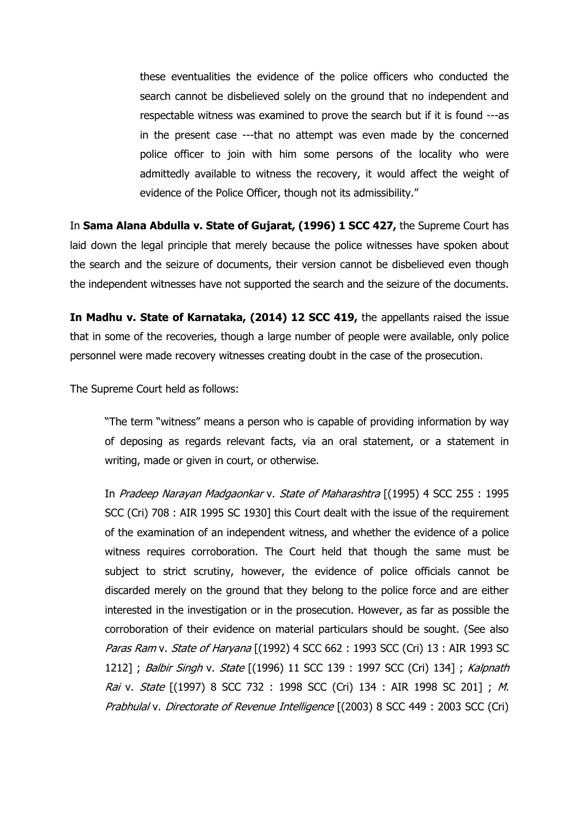these eventualities the evidence of the police officers who conducted the search cannot be disbelieved solely on the ground that no independent and respectable witness was examined to prove the search but if it is found ---as in the present case ---that no attempt was even made by the concerned police officer to join with him some persons of the locality who were admittedly available to witness the recovery, it would affect the weight of evidence of the Police Officer, though not its admissibility."

In Sama Alana Abdulla v. State of Gujarat, (1996) 1 SCC 427, the Supreme Court has laid down the legal principle that merely because the police witnesses have spoken about the search and the seizure of documents, their version cannot be disbelieved even though the independent witnesses have not supported the search and the seizure of the documents.

In Madhu v. State of Karnataka, (2014) 12 SCC 419, the appellants raised the issue that in some of the recoveries, though a large number of people were available, only police personnel were made recovery witnesses creating doubt in the case of the prosecution.

The Supreme Court held as follows:

"The term "witness" means a person who is capable of providing information by way of deposing as regards relevant facts, via an oral statement, or a statement in writing, made or given in court, or otherwise.

In Pradeep Narayan Madgaonkar v. State of Maharashtra [(1995) 4 SCC 255 : 1995 SCC (Cri) 708 : AIR 1995 SC 1930] this Court dealt with the issue of the requirement of the examination of an independent witness, and whether the evidence of a police witness requires corroboration. The Court held that though the same must be subject to strict scrutiny, however, the evidence of police officials cannot be discarded merely on the ground that they belong to the police force and are either interested in the investigation or in the prosecution. However, as far as possible the corroboration of their evidence on material particulars should be sought. (See also Paras Ram v. State of Haryana [(1992) 4 SCC 662 : 1993 SCC (Cri) 13 : AIR 1993 SC 1212] ; Balbir Singh v. State [(1996) 11 SCC 139 : 1997 SCC (Cri) 134] ; Kalpnath Rai v. State [(1997) 8 SCC 732 : 1998 SCC (Cri) 134 : AIR 1998 SC 201] ; M. Prabhulal v. Directorate of Revenue Intelligence [(2003) 8 SCC 449 : 2003 SCC (Cri)